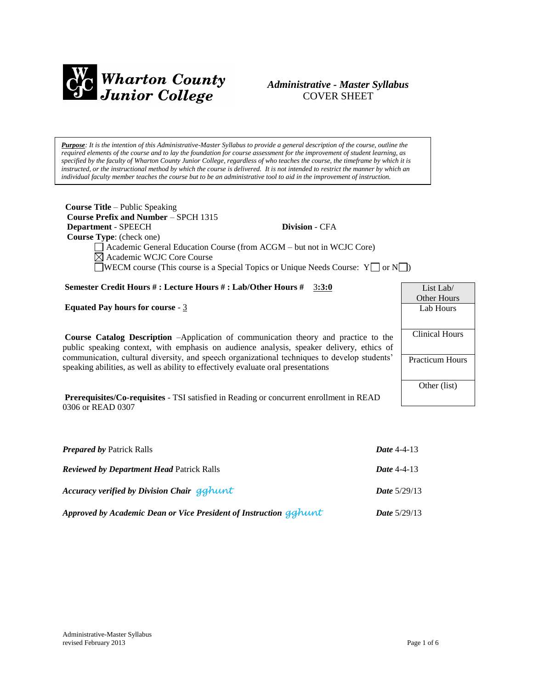

### *Administrative - Master Syllabus*  COVER SHEET

*Purpose: It is the intention of this Administrative-Master Syllabus to provide a general description of the course, outline the required elements of the course and to lay the foundation for course assessment for the improvement of student learning, as specified by the faculty of Wharton County Junior College, regardless of who teaches the course, the timeframe by which it is instructed, or the instructional method by which the course is delivered. It is not intended to restrict the manner by which an individual faculty member teaches the course but to be an administrative tool to aid in the improvement of instruction.*

| <b>Course Title – Public Speaking</b>                                                                |                        |
|------------------------------------------------------------------------------------------------------|------------------------|
| Course Prefix and Number – SPCH 1315                                                                 |                        |
| Department - SPEECH<br><b>Division - CFA</b>                                                         |                        |
| <b>Course Type:</b> (check one)                                                                      |                        |
| Academic General Education Course (from ACGM – but not in WCJC Core)                                 |                        |
| $\boxtimes$ Academic WCJC Core Course                                                                |                        |
| <b>WECM</b> course (This course is a Special Topics or Unique Needs Course: $Y \cup Y$ or $N \cup Y$ |                        |
| Semester Credit Hours #: Lecture Hours #: Lab/Other Hours # 3:3:0                                    | List Lab $\ell$        |
|                                                                                                      | <b>Other Hours</b>     |
| <b>Equated Pay hours for course - 3</b>                                                              | Lab Hours              |
|                                                                                                      |                        |
| <b>Course Catalog Description</b> -Application of communication theory and practice to the           | <b>Clinical Hours</b>  |
| public speaking context, with emphasis on audience analysis, speaker delivery, ethics of             |                        |
| communication, cultural diversity, and speech organizational techniques to develop students'         | <b>Practicum Hours</b> |
| speaking abilities, as well as ability to effectively evaluate oral presentations                    |                        |
|                                                                                                      |                        |
|                                                                                                      | Other (list)           |
| <b>Prerequisites/Co-requisites - TSI</b> satisfied in Reading or concurrent enrollment in READ       |                        |
| 0306 or READ 0307                                                                                    |                        |

| <b>Prepared by Patrick Ralls</b>                                  | Date $4-4-13$         |
|-------------------------------------------------------------------|-----------------------|
| <b>Reviewed by Department Head Patrick Ralls</b>                  | Date $4-4-13$         |
| Accuracy verified by Division Chair gghunt                        | <b>Date</b> $5/29/13$ |
| Approved by Academic Dean or Vice President of Instruction gghunt | <b>Date</b> $5/29/13$ |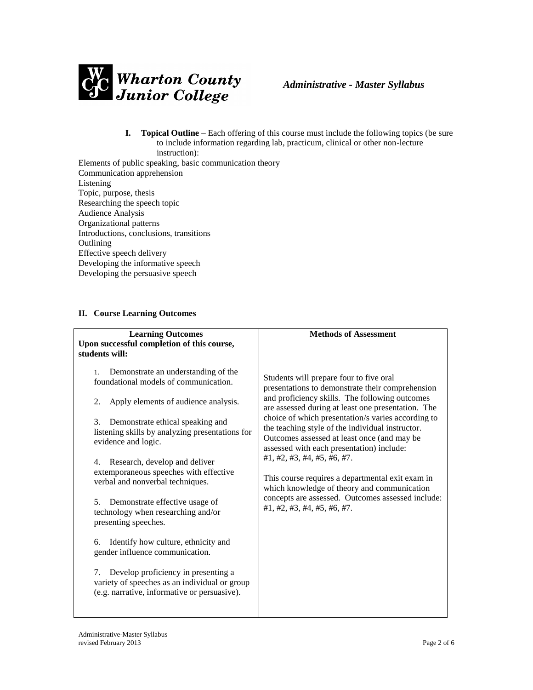

- **I. Topical Outline** Each offering of this course must include the following topics (be sure to include information regarding lab, practicum, clinical or other non-lecture instruction):
- Elements of public speaking, basic communication theory Communication apprehension Listening Topic, purpose, thesis Researching the speech topic Audience Analysis Organizational patterns Introductions, conclusions, transitions **Outlining** Effective speech delivery Developing the informative speech Developing the persuasive speech

#### **II. Course Learning Outcomes**

| <b>Learning Outcomes</b><br>Upon successful completion of this course,<br>students will:                                                   | <b>Methods of Assessment</b>                                                                                                                                                                                                                                                                                                                                                                                             |
|--------------------------------------------------------------------------------------------------------------------------------------------|--------------------------------------------------------------------------------------------------------------------------------------------------------------------------------------------------------------------------------------------------------------------------------------------------------------------------------------------------------------------------------------------------------------------------|
| Demonstrate an understanding of the<br>1.<br>foundational models of communication.                                                         | Students will prepare four to five oral<br>presentations to demonstrate their comprehension                                                                                                                                                                                                                                                                                                                              |
| Apply elements of audience analysis.<br>2.                                                                                                 | and proficiency skills. The following outcomes<br>are assessed during at least one presentation. The                                                                                                                                                                                                                                                                                                                     |
| Demonstrate ethical speaking and<br>3.<br>listening skills by analyzing presentations for<br>evidence and logic.                           | choice of which presentation/s varies according to<br>the teaching style of the individual instructor.<br>Outcomes assessed at least once (and may be<br>assessed with each presentation) include:<br>#1, #2, #3, #4, #5, #6, #7.<br>This course requires a departmental exit exam in<br>which knowledge of theory and communication<br>concepts are assessed. Outcomes assessed include:<br>#1, #2, #3, #4, #5, #6, #7. |
| Research, develop and deliver<br>4.<br>extemporaneous speeches with effective<br>verbal and nonverbal techniques.                          |                                                                                                                                                                                                                                                                                                                                                                                                                          |
| Demonstrate effective usage of<br>5.<br>technology when researching and/or<br>presenting speeches.                                         |                                                                                                                                                                                                                                                                                                                                                                                                                          |
| Identify how culture, ethnicity and<br>6.<br>gender influence communication.                                                               |                                                                                                                                                                                                                                                                                                                                                                                                                          |
| Develop proficiency in presenting a<br>7.<br>variety of speeches as an individual or group<br>(e.g. narrative, informative or persuasive). |                                                                                                                                                                                                                                                                                                                                                                                                                          |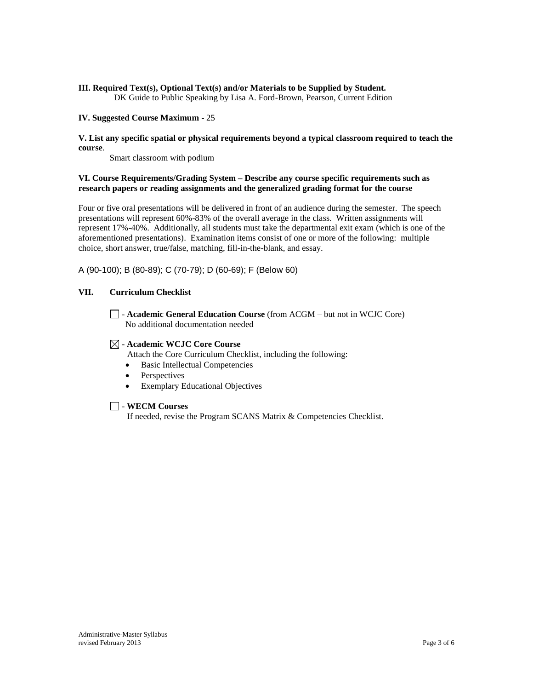# **III. Required Text(s), Optional Text(s) and/or Materials to be Supplied by Student.**

DK Guide to Public Speaking by Lisa A. Ford-Brown, Pearson, Current Edition

#### **IV. Suggested Course Maximum** - 25

#### **V. List any specific spatial or physical requirements beyond a typical classroom required to teach the course**.

Smart classroom with podium

#### **VI. Course Requirements/Grading System – Describe any course specific requirements such as research papers or reading assignments and the generalized grading format for the course**

Four or five oral presentations will be delivered in front of an audience during the semester. The speech presentations will represent 60%-83% of the overall average in the class. Written assignments will represent 17%-40%. Additionally, all students must take the departmental exit exam (which is one of the aforementioned presentations). Examination items consist of one or more of the following: multiple choice, short answer, true/false, matching, fill-in-the-blank, and essay.

A (90-100); B (80-89); C (70-79); D (60-69); F (Below 60)

### **VII. Curriculum Checklist**

- **Academic General Education Course** (from ACGM – but not in WCJC Core) No additional documentation needed

### - **Academic WCJC Core Course**

- Attach the Core Curriculum Checklist, including the following:
- Basic Intellectual Competencies
- Perspectives
- Exemplary Educational Objectives

#### - **WECM Courses**

If needed, revise the Program SCANS Matrix & Competencies Checklist.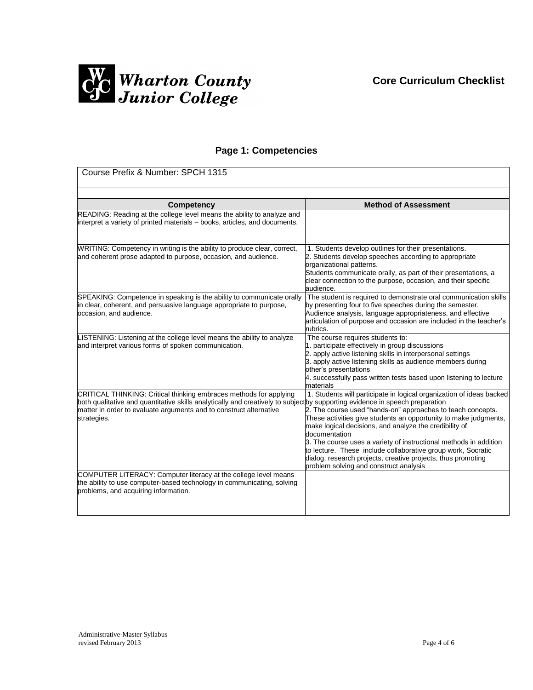

## **Page 1: Competencies**

| Course Prefix & Number: SPCH 1315                                                                                                                                                                                                                                                      |                                                                                                                                                                                                                                                                                                                                                                                                                                                                                                                                   |  |
|----------------------------------------------------------------------------------------------------------------------------------------------------------------------------------------------------------------------------------------------------------------------------------------|-----------------------------------------------------------------------------------------------------------------------------------------------------------------------------------------------------------------------------------------------------------------------------------------------------------------------------------------------------------------------------------------------------------------------------------------------------------------------------------------------------------------------------------|--|
|                                                                                                                                                                                                                                                                                        |                                                                                                                                                                                                                                                                                                                                                                                                                                                                                                                                   |  |
| Competency                                                                                                                                                                                                                                                                             | <b>Method of Assessment</b>                                                                                                                                                                                                                                                                                                                                                                                                                                                                                                       |  |
| READING: Reading at the college level means the ability to analyze and<br>interpret a variety of printed materials - books, articles, and documents.                                                                                                                                   |                                                                                                                                                                                                                                                                                                                                                                                                                                                                                                                                   |  |
| WRITING: Competency in writing is the ability to produce clear, correct,<br>and coherent prose adapted to purpose, occasion, and audience.                                                                                                                                             | 1. Students develop outlines for their presentations.<br>2. Students develop speeches according to appropriate<br>organizational patterns.<br>Students communicate orally, as part of their presentations, a<br>clear connection to the purpose, occasion, and their specific<br>audience.                                                                                                                                                                                                                                        |  |
| SPEAKING: Competence in speaking is the ability to communicate orally<br>in clear, coherent, and persuasive language appropriate to purpose,<br>occasion, and audience.                                                                                                                | The student is required to demonstrate oral communication skills<br>by presenting four to five speeches during the semester.<br>Audience analysis, language appropriateness, and effective<br>articulation of purpose and occasion are included in the teacher's<br>rubrics.                                                                                                                                                                                                                                                      |  |
| LISTENING: Listening at the college level means the ability to analyze<br>and interpret various forms of spoken communication.                                                                                                                                                         | The course requires students to:<br>1. participate effectively in group discussions<br>2. apply active listening skills in interpersonal settings<br>3. apply active listening skills as audience members during<br>other's presentations<br>4. successfully pass written tests based upon listening to lecture<br>materials                                                                                                                                                                                                      |  |
| CRITICAL THINKING: Critical thinking embraces methods for applying<br>both qualitative and quantitative skills analytically and creatively to subjectby supporting evidence in speech preparation<br>matter in order to evaluate arguments and to construct alternative<br>strategies. | 1. Students will participate in logical organization of ideas backed<br>2. The course used "hands-on" approaches to teach concepts.<br>These activities give students an opportunity to make judgments,<br>make logical decisions, and analyze the credibility of<br>documentation<br>3. The course uses a variety of instructional methods in addition<br>to lecture. These include collaborative group work, Socratic<br>dialog, research projects, creative projects, thus promoting<br>problem solving and construct analysis |  |
| COMPUTER LITERACY: Computer literacy at the college level means<br>the ability to use computer-based technology in communicating, solving<br>problems, and acquiring information.                                                                                                      |                                                                                                                                                                                                                                                                                                                                                                                                                                                                                                                                   |  |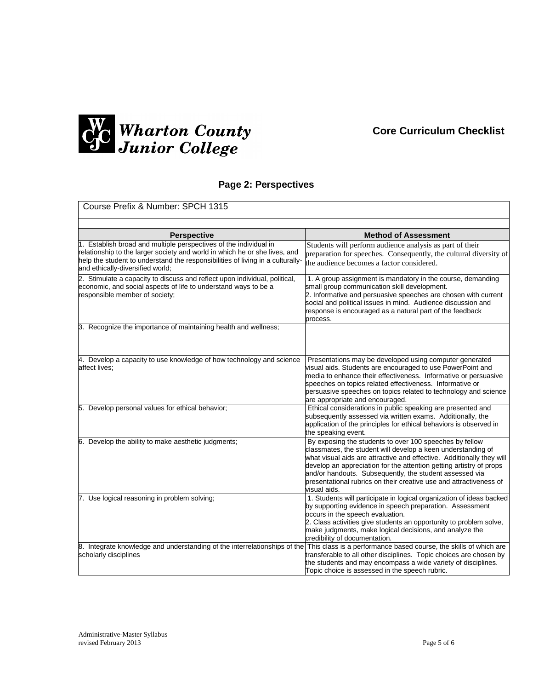

# **Page 2: Perspectives**

| Course Prefix & Number: SPCH 1315                                                                                                                                                                                                                                     |                                                                                                                                                                                                                                                                                                                                                                                                                          |  |
|-----------------------------------------------------------------------------------------------------------------------------------------------------------------------------------------------------------------------------------------------------------------------|--------------------------------------------------------------------------------------------------------------------------------------------------------------------------------------------------------------------------------------------------------------------------------------------------------------------------------------------------------------------------------------------------------------------------|--|
|                                                                                                                                                                                                                                                                       |                                                                                                                                                                                                                                                                                                                                                                                                                          |  |
| 1. Establish broad and multiple perspectives of the individual in<br>relationship to the larger society and world in which he or she lives, and<br>help the student to understand the responsibilities of living in a culturally-<br>and ethically-diversified world; | Students will perform audience analysis as part of their<br>preparation for speeches. Consequently, the cultural diversity of<br>the audience becomes a factor considered.                                                                                                                                                                                                                                               |  |
| 2. Stimulate a capacity to discuss and reflect upon individual, political,<br>economic, and social aspects of life to understand ways to be a<br>responsible member of society;                                                                                       | 1. A group assignment is mandatory in the course, demanding<br>small group communication skill development.<br>2. Informative and persuasive speeches are chosen with current<br>social and political issues in mind. Audience discussion and<br>response is encouraged as a natural part of the feedback<br>process.                                                                                                    |  |
| 3. Recognize the importance of maintaining health and wellness;                                                                                                                                                                                                       |                                                                                                                                                                                                                                                                                                                                                                                                                          |  |
| 4. Develop a capacity to use knowledge of how technology and science<br>affect lives;                                                                                                                                                                                 | Presentations may be developed using computer generated<br>visual aids. Students are encouraged to use PowerPoint and<br>media to enhance their effectiveness. Informative or persuasive<br>speeches on topics related effectiveness. Informative or<br>persuasive speeches on topics related to technology and science<br>are appropriate and encouraged.                                                               |  |
| 5. Develop personal values for ethical behavior;                                                                                                                                                                                                                      | Ethical considerations in public speaking are presented and<br>subsequently assessed via written exams. Additionally, the<br>application of the principles for ethical behaviors is observed in<br>the speaking event.                                                                                                                                                                                                   |  |
| 6. Develop the ability to make aesthetic judgments;                                                                                                                                                                                                                   | By exposing the students to over 100 speeches by fellow<br>classmates, the student will develop a keen understanding of<br>what visual aids are attractive and effective. Additionally they will<br>develop an appreciation for the attention getting artistry of props<br>and/or handouts. Subsequently, the student assessed via<br>presentational rubrics on their creative use and attractiveness of<br>visual aids. |  |
| 7. Use logical reasoning in problem solving;                                                                                                                                                                                                                          | 1. Students will participate in logical organization of ideas backed<br>by supporting evidence in speech preparation. Assessment<br>occurs in the speech evaluation.<br>2. Class activities give students an opportunity to problem solve,<br>make judgments, make logical decisions, and analyze the<br>credibility of documentation.                                                                                   |  |
| 8. Integrate knowledge and understanding of the interrelationships of the<br>scholarly disciplines                                                                                                                                                                    | This class is a performance based course, the skills of which are<br>transferable to all other disciplines. Topic choices are chosen by<br>the students and may encompass a wide variety of disciplines.<br>Topic choice is assessed in the speech rubric.                                                                                                                                                               |  |